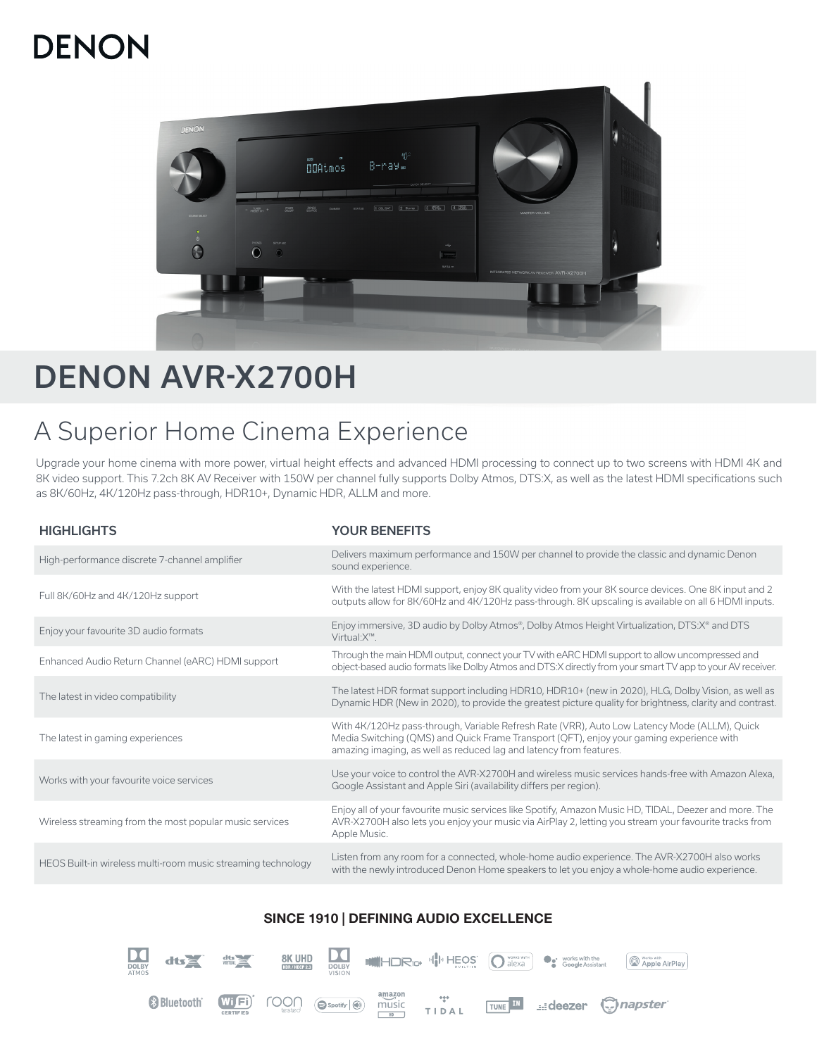# **DENON**



# DENON AVR-X2700H

## A Superior Home Cinema Experience

Upgrade your home cinema with more power, virtual height effects and advanced HDMI processing to connect up to two screens with HDMI 4K and 8K video support. This 7.2ch 8K AV Receiver with 150W per channel fully supports Dolby Atmos, DTS:X, as well as the latest HDMI specifications such as 8K/60Hz, 4K/120Hz pass-through, HDR10+, Dynamic HDR, ALLM and more.

| <b>HIGHLIGHTS</b>                                            | <b>YOUR BENEFITS</b>                                                                                                                                                                                                                                           |
|--------------------------------------------------------------|----------------------------------------------------------------------------------------------------------------------------------------------------------------------------------------------------------------------------------------------------------------|
| High-performance discrete 7-channel amplifier                | Delivers maximum performance and 150W per channel to provide the classic and dynamic Denon<br>sound experience.                                                                                                                                                |
| Full 8K/60Hz and 4K/120Hz support                            | With the latest HDMI support, enjoy 8K quality video from your 8K source devices. One 8K input and 2<br>outputs allow for 8K/60Hz and 4K/120Hz pass-through. 8K upscaling is available on all 6 HDMI inputs.                                                   |
| Enjoy your favourite 3D audio formats                        | Enjoy immersive, 3D audio by Dolby Atmos®, Dolby Atmos Height Virtualization, DTS: X® and DTS<br>Virtual: X™.                                                                                                                                                  |
| Enhanced Audio Return Channel (eARC) HDMI support            | Through the main HDMI output, connect your TV with eARC HDMI support to allow uncompressed and<br>object-based audio formats like Dolby Atmos and DTS:X directly from your smart TV app to your AV receiver.                                                   |
| The latest in video compatibility                            | The latest HDR format support including HDR10, HDR10+ (new in 2020), HLG, Dolby Vision, as well as<br>Dynamic HDR (New in 2020), to provide the greatest picture quality for brightness, clarity and contrast.                                                 |
| The latest in gaming experiences                             | With 4K/120Hz pass-through, Variable Refresh Rate (VRR), Auto Low Latency Mode (ALLM), Quick<br>Media Switching (QMS) and Quick Frame Transport (QFT), enjoy your gaming experience with<br>amazing imaging, as well as reduced lag and latency from features. |
| Works with your favourite voice services                     | Use your voice to control the AVR-X2700H and wireless music services hands-free with Amazon Alexa,<br>Google Assistant and Apple Siri (availability differs per region).                                                                                       |
| Wireless streaming from the most popular music services      | Enjoy all of your favourite music services like Spotify, Amazon Music HD, TIDAL, Deezer and more. The<br>AVR-X2700H also lets you enjoy your music via AirPlay 2, letting you stream your favourite tracks from<br>Apple Music.                                |
| HEOS Built-in wireless multi-room music streaming technology | Listen from any room for a connected, whole-home audio experience. The AVR-X2700H also works<br>with the newly introduced Denon Home speakers to let you enjoy a whole-home audio experience.                                                                  |

### SINCE 1910 | DEFINING AUDIO EXCELLENCE